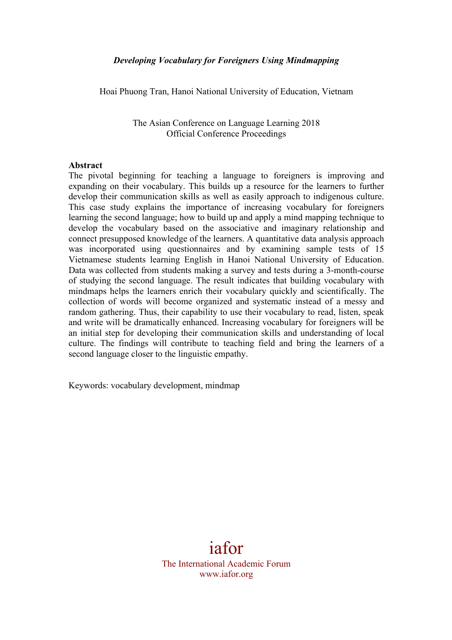Hoai Phuong Tran, Hanoi National University of Education, Vietnam

The Asian Conference on Language Learning 2018 Official Conference Proceedings

#### **Abstract**

The pivotal beginning for teaching a language to foreigners is improving and expanding on their vocabulary. This builds up a resource for the learners to further develop their communication skills as well as easily approach to indigenous culture. This case study explains the importance of increasing vocabulary for foreigners learning the second language; how to build up and apply a mind mapping technique to develop the vocabulary based on the associative and imaginary relationship and connect presupposed knowledge of the learners. A quantitative data analysis approach was incorporated using questionnaires and by examining sample tests of 15 Vietnamese students learning English in Hanoi National University of Education. Data was collected from students making a survey and tests during a 3-month-course of studying the second language. The result indicates that building vocabulary with mindmaps helps the learners enrich their vocabulary quickly and scientifically. The collection of words will become organized and systematic instead of a messy and random gathering. Thus, their capability to use their vocabulary to read, listen, speak and write will be dramatically enhanced. Increasing vocabulary for foreigners will be an initial step for developing their communication skills and understanding of local culture. The findings will contribute to teaching field and bring the learners of a second language closer to the linguistic empathy.

Keywords: vocabulary development, mindmap

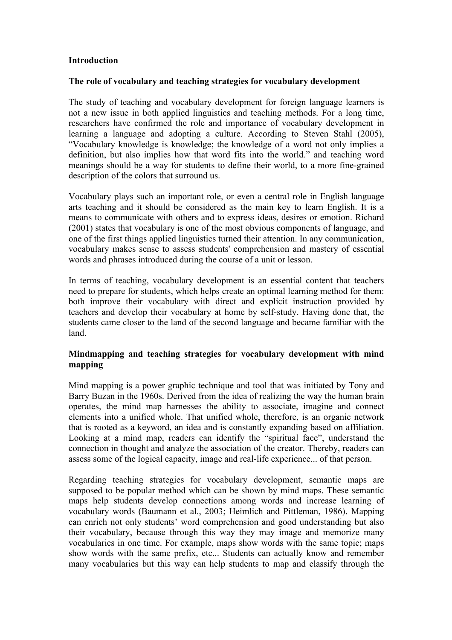### **Introduction**

#### **The role of vocabulary and teaching strategies for vocabulary development**

The study of teaching and vocabulary development for foreign language learners is not a new issue in both applied linguistics and teaching methods. For a long time, researchers have confirmed the role and importance of vocabulary development in learning a language and adopting a culture. According to Steven Stahl (2005), "Vocabulary knowledge is knowledge; the knowledge of a word not only implies a definition, but also implies how that word fits into the world." and teaching word meanings should be a way for students to define their world, to a more fine-grained description of the colors that surround us.

Vocabulary plays such an important role, or even a central role in English language arts teaching and it should be considered as the main key to learn English. It is a means to communicate with others and to express ideas, desires or emotion. Richard (2001) states that vocabulary is one of the most obvious components of language, and one of the first things applied linguistics turned their attention. In any communication, vocabulary makes sense to assess students' comprehension and mastery of essential words and phrases introduced during the course of a unit or lesson.

In terms of teaching, vocabulary development is an essential content that teachers need to prepare for students, which helps create an optimal learning method for them: both improve their vocabulary with direct and explicit instruction provided by teachers and develop their vocabulary at home by self-study. Having done that, the students came closer to the land of the second language and became familiar with the land.

### **Mindmapping and teaching strategies for vocabulary development with mind mapping**

Mind mapping is a power graphic technique and tool that was initiated by Tony and Barry Buzan in the 1960s. Derived from the idea of realizing the way the human brain operates, the mind map harnesses the ability to associate, imagine and connect elements into a unified whole. That unified whole, therefore, is an organic network that is rooted as a keyword, an idea and is constantly expanding based on affiliation. Looking at a mind map, readers can identify the "spiritual face", understand the connection in thought and analyze the association of the creator. Thereby, readers can assess some of the logical capacity, image and real-life experience... of that person.

Regarding teaching strategies for vocabulary development, semantic maps are supposed to be popular method which can be shown by mind maps. These semantic maps help students develop connections among words and increase learning of vocabulary words (Baumann et al., 2003; Heimlich and Pittleman, 1986). Mapping can enrich not only students' word comprehension and good understanding but also their vocabulary, because through this way they may image and memorize many vocabularies in one time. For example, maps show words with the same topic; maps show words with the same prefix, etc... Students can actually know and remember many vocabularies but this way can help students to map and classify through the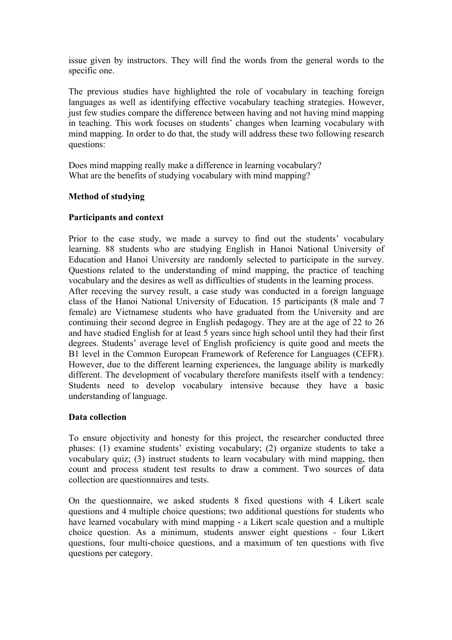issue given by instructors. They will find the words from the general words to the specific one.

The previous studies have highlighted the role of vocabulary in teaching foreign languages as well as identifying effective vocabulary teaching strategies. However, just few studies compare the difference between having and not having mind mapping in teaching. This work focuses on students' changes when learning vocabulary with mind mapping. In order to do that, the study will address these two following research questions:

Does mind mapping really make a difference in learning vocabulary? What are the benefits of studying vocabulary with mind mapping?

### **Method of studying**

### **Participants and context**

Prior to the case study, we made a survey to find out the students' vocabulary learning. 88 students who are studying English in Hanoi National University of Education and Hanoi University are randomly selected to participate in the survey. Questions related to the understanding of mind mapping, the practice of teaching vocabulary and the desires as well as difficulties of students in the learning process. After receving the survey result, a case study was conducted in a foreign language class of the Hanoi National University of Education. 15 participants (8 male and 7 female) are Vietnamese students who have graduated from the University and are continuing their second degree in English pedagogy. They are at the age of 22 to 26 and have studied English for at least 5 years since high school until they had their first degrees. Students' average level of English proficiency is quite good and meets the B1 level in the Common European Framework of Reference for Languages (CEFR). However, due to the different learning experiences, the language ability is markedly different. The development of vocabulary therefore manifests itself with a tendency: Students need to develop vocabulary intensive because they have a basic understanding of language.

# **Data collection**

To ensure objectivity and honesty for this project, the researcher conducted three phases: (1) examine students' existing vocabulary; (2) organize students to take a vocabulary quiz; (3) instruct students to learn vocabulary with mind mapping, then count and process student test results to draw a comment. Two sources of data collection are questionnaires and tests.

On the questionnaire, we asked students 8 fixed questions with 4 Likert scale questions and 4 multiple choice questions; two additional questions for students who have learned vocabulary with mind mapping - a Likert scale question and a multiple choice question. As a minimum, students answer eight questions - four Likert questions, four multi-choice questions, and a maximum of ten questions with five questions per category.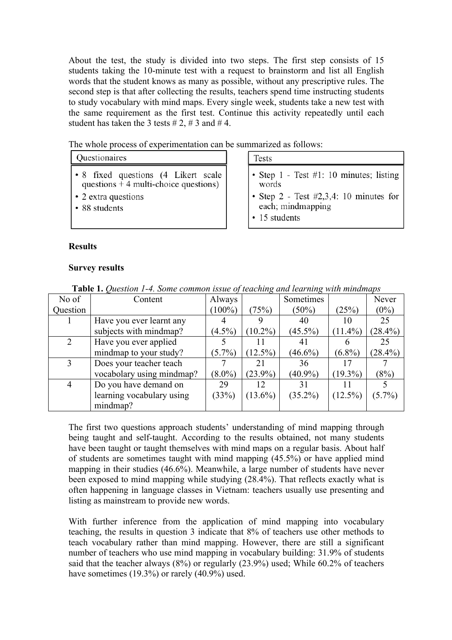About the test, the study is divided into two steps. The first step consists of 15 students taking the 10-minute test with a request to brainstorm and list all English words that the student knows as many as possible, without any prescriptive rules. The second step is that after collecting the results, teachers spend time instructing students to study vocabulary with mind maps. Every single week, students take a new test with the same requirement as the first test. Continue this activity repeatedly until each student has taken the 3 tests  $\# 2$ ,  $\# 3$  and  $\# 4$ .

The whole process of experimentation can be summarized as follows:

# Ouestionaires

- 8 fixed questions (4 Likert scale questions  $\frac{1}{2}$  4 multi-choice questions)
- 2 extra questions
- 88 students

#### **Tests**

- Step 1 Test #1: 10 minutes; listing words
- Step 2 Test  $#2,3,4$ : 10 minutes for each; mindmapping
- 15 students

### **Results**

#### **Survey results**

| No of          | Content                   | Always    |            | Sometimes  |            | Never      |
|----------------|---------------------------|-----------|------------|------------|------------|------------|
| Question       |                           | $(100\%)$ | (75%)      | $(50\%)$   | (25%)      | $(0\%)$    |
|                | Have you ever learnt any  |           | 9          | 40         | 10         | 25         |
|                | subjects with mindmap?    | $(4.5\%)$ | $(10.2\%)$ | $(45.5\%)$ | $(11.4\%)$ | $(28.4\%)$ |
| 2              | Have you ever applied     |           |            | 41         |            | 25         |
|                | mindmap to your study?    | $(5.7\%)$ | $(12.5\%)$ | $(46.6\%)$ | $(6.8\%)$  | $(28.4\%)$ |
| 3              | Does your teacher teach   |           | 21         | 36         |            |            |
|                | vocabolary using mindmap? | $(8.0\%)$ | $(23.9\%)$ | $(40.9\%)$ | $(19.3\%)$ | (8%)       |
| $\overline{4}$ | Do you have demand on     | 29        | 12         | 31         |            |            |
|                | learning vocabulary using | (33%)     | $(13.6\%)$ | $(35.2\%)$ | $(12.5\%)$ | $(5.7\%)$  |
|                | mindmap?                  |           |            |            |            |            |

**Table 1.** *Question 1-4. Some common issue of teaching and learning with mindmaps*

The first two questions approach students' understanding of mind mapping through being taught and self-taught. According to the results obtained, not many students have been taught or taught themselves with mind maps on a regular basis. About half of students are sometimes taught with mind mapping (45.5%) or have applied mind mapping in their studies (46.6%). Meanwhile, a large number of students have never been exposed to mind mapping while studying (28.4%). That reflects exactly what is often happening in language classes in Vietnam: teachers usually use presenting and listing as mainstream to provide new words.

With further inference from the application of mind mapping into vocabulary teaching, the results in question 3 indicate that 8% of teachers use other methods to teach vocabulary rather than mind mapping. However, there are still a significant number of teachers who use mind mapping in vocabulary building: 31.9% of students said that the teacher always (8%) or regularly (23.9%) used; While 60.2% of teachers have sometimes (19.3%) or rarely (40.9%) used.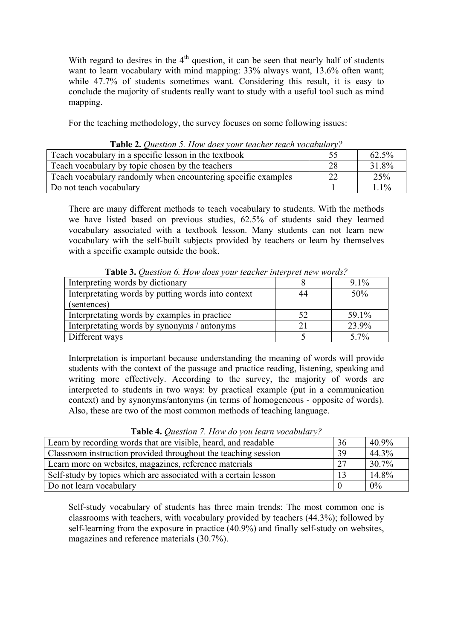With regard to desires in the  $4<sup>th</sup>$  question, it can be seen that nearly half of students want to learn vocabulary with mind mapping: 33% always want, 13.6% often want; while 47.7% of students sometimes want. Considering this result, it is easy to conclude the majority of students really want to study with a useful tool such as mind mapping.

For the teaching methodology, the survey focuses on some following issues:

| $\pm$ and $\pm$ . One only if $\epsilon$ . The $\eta$ notes form reducing reducing to the month $\eta$ |    |         |  |  |  |
|--------------------------------------------------------------------------------------------------------|----|---------|--|--|--|
| Teach vocabulary in a specific lesson in the textbook                                                  |    | 62.5%   |  |  |  |
| Teach vocabulary by topic chosen by the teachers                                                       | 28 | 31.8%   |  |  |  |
| Teach vocabulary randomly when encountering specific examples                                          | 22 | 25%     |  |  |  |
| Do not teach vocabulary                                                                                |    | $1.1\%$ |  |  |  |

**Table 2.** *Question 5. How does your teacher teach vocabulary?*

There are many different methods to teach vocabulary to students. With the methods we have listed based on previous studies, 62.5% of students said they learned vocabulary associated with a textbook lesson. Many students can not learn new vocabulary with the self-built subjects provided by teachers or learn by themselves with a specific example outside the book.

| <b>THEN</b> $\sigma$ . Question 0. How woos your reacher much pretation works. |    |         |  |  |  |
|--------------------------------------------------------------------------------|----|---------|--|--|--|
| Interpreting words by dictionary                                               |    | $9.1\%$ |  |  |  |
| Interpretating words by putting words into context                             | 44 | 50%     |  |  |  |
| (sentences)                                                                    |    |         |  |  |  |
| Interpretating words by examples in practice                                   | 52 | 59.1%   |  |  |  |
| Interpretating words by synonyms / antonyms                                    |    | 23.9%   |  |  |  |
| Different ways                                                                 |    | $5.7\%$ |  |  |  |

**Table 3.** *Question 6. How does your teacher interpret new words?*

Interpretation is important because understanding the meaning of words will provide students with the context of the passage and practice reading, listening, speaking and writing more effectively. According to the survey, the majority of words are interpreted to students in two ways: by practical example (put in a communication context) and by synonyms/antonyms (in terms of homogeneous - opposite of words). Also, these are two of the most common methods of teaching language.

| Learn by recording words that are visible, heard, and readable  | 36 | 40.9% |
|-----------------------------------------------------------------|----|-------|
| Classroom instruction provided throughout the teaching session  | 39 | 44.3% |
| Learn more on websites, magazines, reference materials          | 27 | 30.7% |
| Self-study by topics which are associated with a certain lesson | 13 | 14.8% |
| Do not learn vocabulary                                         |    | 0%    |

**Table 4.** *Question 7. How do you learn vocabulary?*

Self-study vocabulary of students has three main trends: The most common one is classrooms with teachers, with vocabulary provided by teachers (44.3%); followed by self-learning from the exposure in practice (40.9%) and finally self-study on websites, magazines and reference materials (30.7%).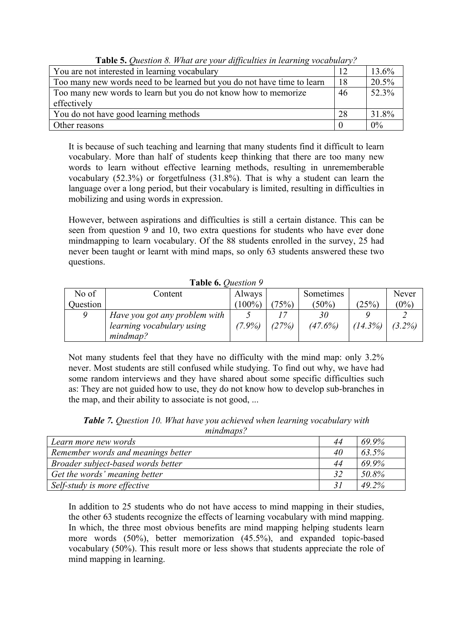| <b>Lable 5.</b> Oneshon 6. <i>H</i> and the your ufficulties in tearning vocabulary. |    |       |  |  |
|--------------------------------------------------------------------------------------|----|-------|--|--|
| You are not interested in learning vocabulary                                        | 12 | 13.6% |  |  |
| Too many new words need to be learned but you do not have time to learn              | 18 | 20.5% |  |  |
| Too many new words to learn but you do not know how to memorize                      | 46 | 52.3% |  |  |
| effectively                                                                          |    |       |  |  |
| You do not have good learning methods                                                | 28 | 31.8% |  |  |
| Other reasons                                                                        |    | $0\%$ |  |  |

**Table 5.** *Question 8. What are your difficulties in learning vocabulary?*

It is because of such teaching and learning that many students find it difficult to learn vocabulary. More than half of students keep thinking that there are too many new words to learn without effective learning methods, resulting in unrememberable vocabulary (52.3%) or forgetfulness (31.8%). That is why a student can learn the language over a long period, but their vocabulary is limited, resulting in difficulties in mobilizing and using words in expression.

However, between aspirations and difficulties is still a certain distance. This can be seen from question 9 and 10, two extra questions for students who have ever done mindmapping to learn vocabulary. Of the 88 students enrolled in the survey, 25 had never been taught or learnt with mind maps, so only 63 students answered these two questions.

| No of    | Content                       | Always    |       | Sometimes |            | Never     |  |  |
|----------|-------------------------------|-----------|-------|-----------|------------|-----------|--|--|
| Question |                               | $(100\%)$ | (75%) | $(50\%)$  | (25%)      | $(0\%)$   |  |  |
|          | Have you got any problem with |           |       | 30        |            |           |  |  |
|          | learning vocabulary using     | $(7.9\%)$ | (27%) | (47.6%)   | $(14.3\%)$ | $(3.2\%)$ |  |  |
|          | mindmap?                      |           |       |           |            |           |  |  |

**Table 6.** *Question 9*

Not many students feel that they have no difficulty with the mind map: only 3.2% never. Most students are still confused while studying. To find out why, we have had some random interviews and they have shared about some specific difficulties such as: They are not guided how to use, they do not know how to develop sub-branches in the map, and their ability to associate is not good, ...

|           | <b>Table 7.</b> Question 10. What have you achieved when learning vocabulary with |
|-----------|-----------------------------------------------------------------------------------|
| mindmaps? |                                                                                   |

| Learn more new words               | 44 | 69.9% |
|------------------------------------|----|-------|
| Remember words and meanings better | 40 | 63.5% |
| Broader subject-based words better | 44 | 69.9% |
| Get the words' meaning better      | 32 | 50.8% |
| Self-study is more effective       | 31 | 49.2% |

In addition to 25 students who do not have access to mind mapping in their studies, the other 63 students recognize the effects of learning vocabulary with mind mapping. In which, the three most obvious benefits are mind mapping helping students learn more words (50%), better memorization (45.5%), and expanded topic-based vocabulary (50%). This result more or less shows that students appreciate the role of mind mapping in learning.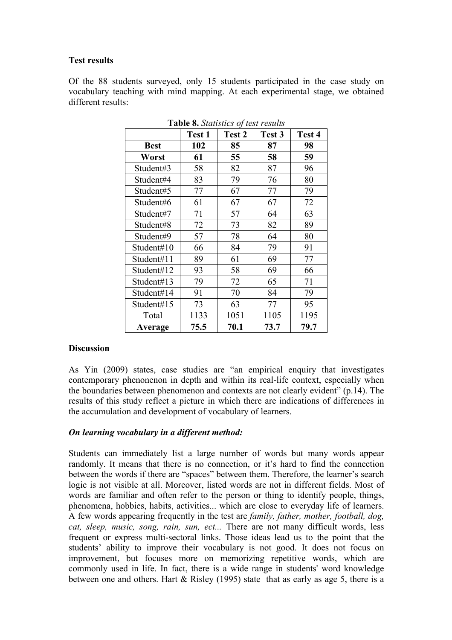## **Test results**

Of the 88 students surveyed, only 15 students participated in the case study on vocabulary teaching with mind mapping. At each experimental stage, we obtained different results:

|             | <b>Test 1</b> | Test 2 | Test 3 | Test 4 |
|-------------|---------------|--------|--------|--------|
| <b>Best</b> | 102           | 85     | 87     | 98     |
| Worst       | 61            | 55     | 58     | 59     |
| Student#3   | 58            | 82     | 87     | 96     |
| Student#4   | 83            | 79     | 76     | 80     |
| Student#5   | 77            | 67     | 77     | 79     |
| Student#6   | 61            | 67     | 67     | 72     |
| Student#7   | 71            | 57     | 64     | 63     |
| Student#8   | 72            | 73     | 82     | 89     |
| Student#9   | 57            | 78     | 64     | 80     |
| Student#10  | 66            | 84     | 79     | 91     |
| Student#11  | 89            | 61     | 69     | 77     |
| Student#12  | 93            | 58     | 69     | 66     |
| Student#13  | 79            | 72     | 65     | 71     |
| Student#14  | 91            | 70     | 84     | 79     |
| Student#15  | 73            | 63     | 77     | 95     |
| Total       | 1133          | 1051   | 1105   | 1195   |
| Average     | 75.5          | 70.1   | 73.7   | 79.7   |

**Table 8.** *Statistics of test results*

### **Discussion**

As Yin (2009) states, case studies are "an empirical enquiry that investigates contemporary phenonenon in depth and within its real-life context, especially when the boundaries between phenomenon and contexts are not clearly evident" (p.14). The results of this study reflect a picture in which there are indications of differences in the accumulation and development of vocabulary of learners.

# *On learning vocabulary in a different method:*

Students can immediately list a large number of words but many words appear randomly. It means that there is no connection, or it's hard to find the connection between the words if there are "spaces" between them. Therefore, the learner's search logic is not visible at all. Moreover, listed words are not in different fields. Most of words are familiar and often refer to the person or thing to identify people, things, phenomena, hobbies, habits, activities... which are close to everyday life of learners. A few words appearing frequently in the test are *family, father, mother, football, dog, cat, sleep, music, song, rain, sun, ect...* There are not many difficult words, less frequent or express multi-sectoral links. Those ideas lead us to the point that the students' ability to improve their vocabulary is not good. It does not focus on improvement, but focuses more on memorizing repetitive words, which are commonly used in life. In fact, there is a wide range in students' word knowledge between one and others. Hart & Risley (1995) state that as early as age 5, there is a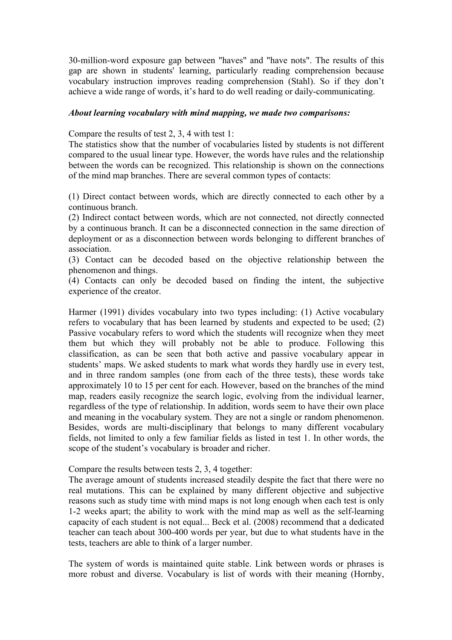30-million-word exposure gap between "haves" and "have nots". The results of this gap are shown in students' learning, particularly reading comprehension because vocabulary instruction improves reading comprehension (Stahl). So if they don't achieve a wide range of words, it's hard to do well reading or daily-communicating.

#### *About learning vocabulary with mind mapping, we made two comparisons:*

Compare the results of test 2, 3, 4 with test 1:

The statistics show that the number of vocabularies listed by students is not different compared to the usual linear type. However, the words have rules and the relationship between the words can be recognized. This relationship is shown on the connections of the mind map branches. There are several common types of contacts:

(1) Direct contact between words, which are directly connected to each other by a continuous branch.

(2) Indirect contact between words, which are not connected, not directly connected by a continuous branch. It can be a disconnected connection in the same direction of deployment or as a disconnection between words belonging to different branches of association.

(3) Contact can be decoded based on the objective relationship between the phenomenon and things.

(4) Contacts can only be decoded based on finding the intent, the subjective experience of the creator.

Harmer (1991) divides vocabulary into two types including: (1) Active vocabulary refers to vocabulary that has been learned by students and expected to be used; (2) Passive vocabulary refers to word which the students will recognize when they meet them but which they will probably not be able to produce. Following this classification, as can be seen that both active and passive vocabulary appear in students' maps. We asked students to mark what words they hardly use in every test, and in three random samples (one from each of the three tests), these words take approximately 10 to 15 per cent for each. However, based on the branches of the mind map, readers easily recognize the search logic, evolving from the individual learner, regardless of the type of relationship. In addition, words seem to have their own place and meaning in the vocabulary system. They are not a single or random phenomenon. Besides, words are multi-disciplinary that belongs to many different vocabulary fields, not limited to only a few familiar fields as listed in test 1. In other words, the scope of the student's vocabulary is broader and richer.

Compare the results between tests 2, 3, 4 together:

The average amount of students increased steadily despite the fact that there were no real mutations. This can be explained by many different objective and subjective reasons such as study time with mind maps is not long enough when each test is only 1-2 weeks apart; the ability to work with the mind map as well as the self-learning capacity of each student is not equal... Beck et al. (2008) recommend that a dedicated teacher can teach about 300-400 words per year, but due to what students have in the tests, teachers are able to think of a larger number.

The system of words is maintained quite stable. Link between words or phrases is more robust and diverse. Vocabulary is list of words with their meaning (Hornby,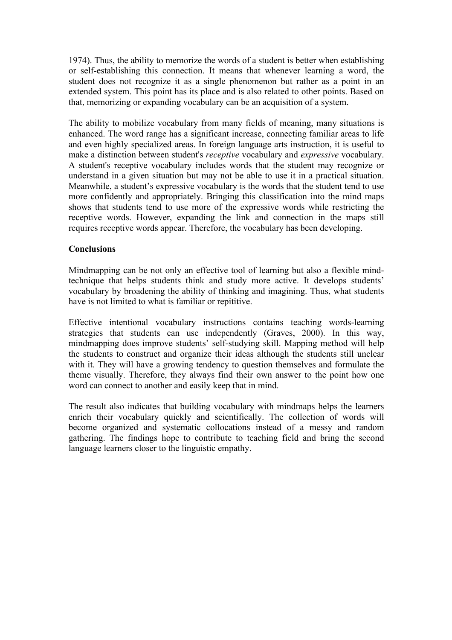1974). Thus, the ability to memorize the words of a student is better when establishing or self-establishing this connection. It means that whenever learning a word, the student does not recognize it as a single phenomenon but rather as a point in an extended system. This point has its place and is also related to other points. Based on that, memorizing or expanding vocabulary can be an acquisition of a system.

The ability to mobilize vocabulary from many fields of meaning, many situations is enhanced. The word range has a significant increase, connecting familiar areas to life and even highly specialized areas. In foreign language arts instruction, it is useful to make a distinction between student's *receptive* vocabulary and *expressive* vocabulary. A student's receptive vocabulary includes words that the student may recognize or understand in a given situation but may not be able to use it in a practical situation. Meanwhile, a student's expressive vocabulary is the words that the student tend to use more confidently and appropriately. Bringing this classification into the mind maps shows that students tend to use more of the expressive words while restricting the receptive words. However, expanding the link and connection in the maps still requires receptive words appear. Therefore, the vocabulary has been developing.

### **Conclusions**

Mindmapping can be not only an effective tool of learning but also a flexible mindtechnique that helps students think and study more active. It develops students' vocabulary by broadening the ability of thinking and imagining. Thus, what students have is not limited to what is familiar or repititive.

Effective intentional vocabulary instructions contains teaching words-learning strategies that students can use independently (Graves, 2000). In this way, mindmapping does improve students' self-studying skill. Mapping method will help the students to construct and organize their ideas although the students still unclear with it. They will have a growing tendency to question themselves and formulate the theme visually. Therefore, they always find their own answer to the point how one word can connect to another and easily keep that in mind.

The result also indicates that building vocabulary with mindmaps helps the learners enrich their vocabulary quickly and scientifically. The collection of words will become organized and systematic collocations instead of a messy and random gathering. The findings hope to contribute to teaching field and bring the second language learners closer to the linguistic empathy.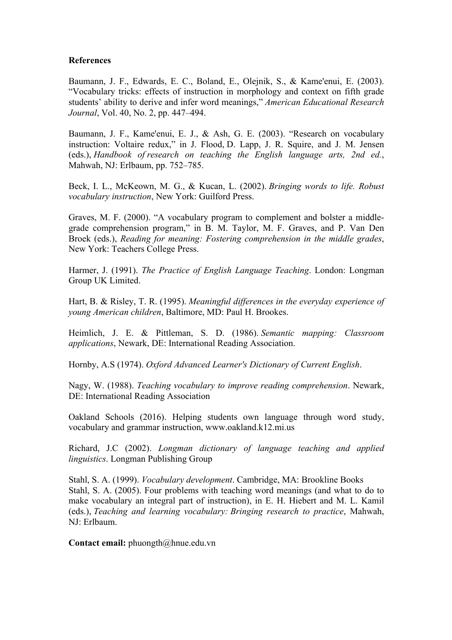### **References**

Baumann, J. F., Edwards, E. C., Boland, E., Olejnik, S., & Kame'enui, E. (2003). "Vocabulary tricks: effects of instruction in morphology and context on fifth grade students' ability to derive and infer word meanings," *American Educational Research Journal*, Vol. 40, No. 2, pp. 447–494.

Baumann, J. F., Kame'enui, E. J., & Ash, G. E. (2003). "Research on vocabulary instruction: Voltaire redux," in J. Flood, D. Lapp, J. R. Squire, and J. M. Jensen (eds.), *Handbook of research on teaching the English language arts, 2nd ed.*, Mahwah, NJ: Erlbaum, pp. 752–785.

Beck, I. L., McKeown, M. G., & Kucan, L. (2002). *Bringing words to life. Robust vocabulary instruction*, New York: Guilford Press.

Graves, M. F. (2000). "A vocabulary program to complement and bolster a middlegrade comprehension program," in B. M. Taylor, M. F. Graves, and P. Van Den Broek (eds.), *Reading for meaning: Fostering comprehension in the middle grades*, New York: Teachers College Press.

Harmer, J. (1991). *The Practice of English Language Teaching*. London: Longman Group UK Limited.

Hart, B. & Risley, T. R. (1995). *Meaningful differences in the everyday experience of young American children*, Baltimore, MD: Paul H. Brookes.

Heimlich, J. E. & Pittleman, S. D. (1986). *Semantic mapping: Classroom applications*, Newark, DE: International Reading Association.

Hornby, A.S (1974). *Oxford Advanced Learner's Dictionary of Current English*.

Nagy, W. (1988). *Teaching vocabulary to improve reading comprehension*. Newark, DE: International Reading Association

Oakland Schools (2016). Helping students own language through word study, vocabulary and grammar instruction, www.oakland.k12.mi.us

Richard, J.C (2002). *Longman dictionary of language teaching and applied linguistics*. Longman Publishing Group

Stahl, S. A. (1999). *Vocabulary development*. Cambridge, MA: Brookline Books Stahl, S. A. (2005). Four problems with teaching word meanings (and what to do to make vocabulary an integral part of instruction), in E. H. Hiebert and M. L. Kamil (eds.), *Teaching and learning vocabulary: Bringing research to practice*, Mahwah, NJ: Erlbaum.

**Contact email:** phuongth@hnue.edu.vn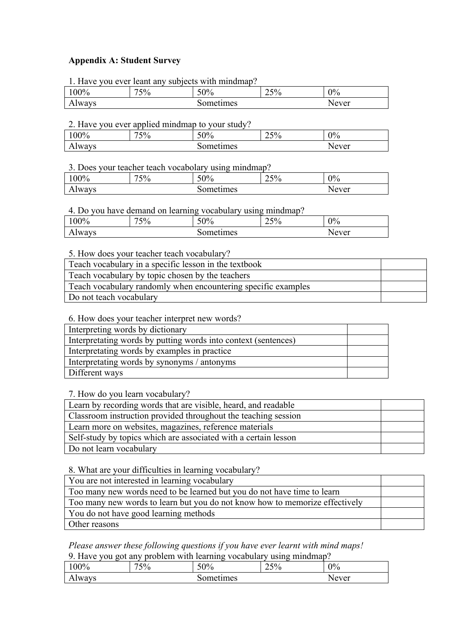## **Appendix A: Student Survey**

| 1. Have you ever leant any subjects with mindmap? |     |     |     |       |  |
|---------------------------------------------------|-----|-----|-----|-------|--|
| 100%                                              | 75% | 50% | 25% | $0\%$ |  |
| Sometimes<br>Never<br>Always                      |     |     |     |       |  |

#### 2. Have you ever applied mindmap to your study?

| $00\%$ | 7.50<br>70<br>ັ | 50%           | $\sim$ $\sim$<br>∽<br>$\overline{\phantom{a}}$<br>ر ت | 0%   |
|--------|-----------------|---------------|-------------------------------------------------------|------|
| Always |                 | ำme∟<br>umes: |                                                       | ever |

### 3. Does your teacher teach vocabolary using mindmap?

| 00%           | 75% | 50%       | 25% | 0%    |
|---------------|-----|-----------|-----|-------|
| <b>Always</b> |     | Sometimes |     | Never |

### 4. Do you have demand on learning vocabulary using mindmap?

| 00%           | 75% | 50%      | $\sqrt{2}$<br>⌒<br>$25\%$ | 0%    |
|---------------|-----|----------|---------------------------|-------|
| <b>Always</b> |     | ometimes |                           | √ever |

### 5. How does your teacher teach vocabulary?

| Teach vocabulary in a specific lesson in the textbook         |  |
|---------------------------------------------------------------|--|
| Teach vocabulary by topic chosen by the teachers              |  |
| Teach vocabulary randomly when encountering specific examples |  |
| Do not teach vocabulary                                       |  |

6. How does your teacher interpret new words?

| Interpreting words by dictionary                               |  |
|----------------------------------------------------------------|--|
| Interpretating words by putting words into context (sentences) |  |
| Interpretating words by examples in practice                   |  |
| Interpretating words by synonyms / antonyms                    |  |
| Different ways                                                 |  |
|                                                                |  |

7. How do you learn vocabulary?

| Learn by recording words that are visible, heard, and readable  |  |
|-----------------------------------------------------------------|--|
| Classroom instruction provided throughout the teaching session  |  |
| Learn more on websites, magazines, reference materials          |  |
| Self-study by topics which are associated with a certain lesson |  |
| Do not learn vocabulary                                         |  |

8. What are your difficulties in learning vocabulary?

| You are not interested in learning vocabulary                               |  |
|-----------------------------------------------------------------------------|--|
| Too many new words need to be learned but you do not have time to learn     |  |
| Too many new words to learn but you do not know how to memorize effectively |  |
| You do not have good learning methods                                       |  |
| Other reasons                                                               |  |

# *Please answer these following questions if you have ever learnt with mind maps!*

9. Have you got any problem with learning vocabulary using mindmap?

| 00%           | $\Gamma$ <sup>0</sup><br>–<br>v<br>76<br>ັ | . .<br>∕00⊼<br>υc<br>70 | $\sim$ $\sim$<br>$\angle$ 370 | 0%              |
|---------------|--------------------------------------------|-------------------------|-------------------------------|-----------------|
| <b>Always</b> |                                            | $\gamma$ mer.<br>:ımes  |                               | $N$ ever<br>'∪⊥ |